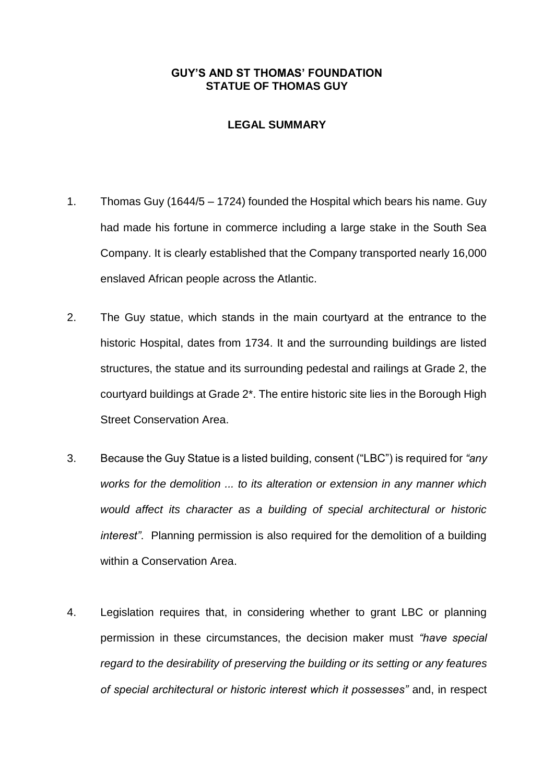## **GUY'S AND ST THOMAS' FOUNDATION STATUE OF THOMAS GUY**

## **LEGAL SUMMARY**

- 1. Thomas Guy (1644/5 1724) founded the Hospital which bears his name. Guy had made his fortune in commerce including a large stake in the South Sea Company. It is clearly established that the Company transported nearly 16,000 enslaved African people across the Atlantic.
- 2. The Guy statue, which stands in the main courtyard at the entrance to the historic Hospital, dates from 1734. It and the surrounding buildings are listed structures, the statue and its surrounding pedestal and railings at Grade 2, the courtyard buildings at Grade 2\*. The entire historic site lies in the Borough High Street Conservation Area.
- 3. Because the Guy Statue is a listed building, consent ("LBC") is required for *"any works for the demolition ... to its alteration or extension in any manner which would affect its character as a building of special architectural or historic interest"*. Planning permission is also required for the demolition of a building within a Conservation Area.
- 4. Legislation requires that, in considering whether to grant LBC or planning permission in these circumstances, the decision maker must *"have special regard to the desirability of preserving the building or its setting or any features of special architectural or historic interest which it possesses"* and, in respect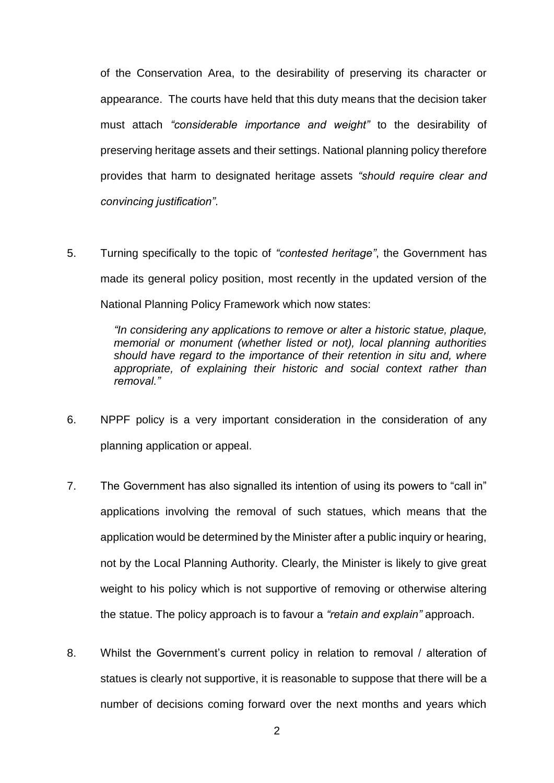of the Conservation Area, to the desirability of preserving its character or appearance. The courts have held that this duty means that the decision taker must attach *"considerable importance and weight"* to the desirability of preserving heritage assets and their settings. National planning policy therefore provides that harm to designated heritage assets *"should require clear and convincing justification"*.

5. Turning specifically to the topic of *"contested heritage"*, the Government has made its general policy position, most recently in the updated version of the National Planning Policy Framework which now states:

> *"In considering any applications to remove or alter a historic statue, plaque, memorial or monument (whether listed or not), local planning authorities should have regard to the importance of their retention in situ and, where appropriate, of explaining their historic and social context rather than removal."*

- 6. NPPF policy is a very important consideration in the consideration of any planning application or appeal.
- 7. The Government has also signalled its intention of using its powers to "call in" applications involving the removal of such statues, which means that the application would be determined by the Minister after a public inquiry or hearing, not by the Local Planning Authority. Clearly, the Minister is likely to give great weight to his policy which is not supportive of removing or otherwise altering the statue. The policy approach is to favour a *"retain and explain"* approach.
- 8. Whilst the Government's current policy in relation to removal / alteration of statues is clearly not supportive, it is reasonable to suppose that there will be a number of decisions coming forward over the next months and years which